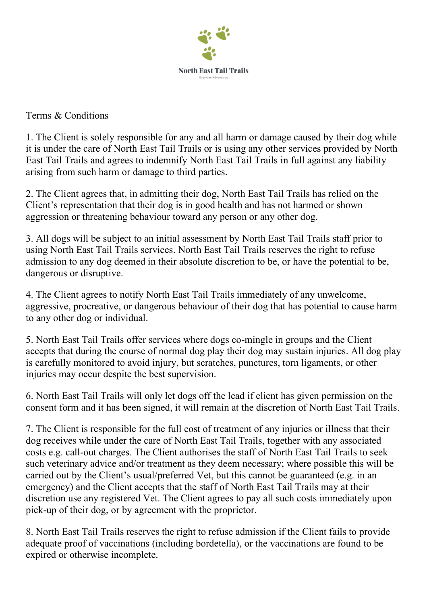

Terms & Conditions

1. The Client is solely responsible for any and all harm or damage caused by their dog while it is under the care of North East Tail Trails or is using any other services provided by North East Tail Trails and agrees to indemnify North East Tail Trails in full against any liability arising from such harm or damage to third parties.

2. The Client agrees that, in admitting their dog, North East Tail Trails has relied on the Client's representation that their dog is in good health and has not harmed or shown aggression or threatening behaviour toward any person or any other dog.

3. All dogs will be subject to an initial assessment by North East Tail Trails staff prior to using North East Tail Trails services. North East Tail Trails reserves the right to refuse admission to any dog deemed in their absolute discretion to be, or have the potential to be, dangerous or disruptive.

4. The Client agrees to notify North East Tail Trails immediately of any unwelcome, aggressive, procreative, or dangerous behaviour of their dog that has potential to cause harm to any other dog or individual.

5. North East Tail Trails offer services where dogs co-mingle in groups and the Client accepts that during the course of normal dog play their dog may sustain injuries. All dog play is carefully monitored to avoid injury, but scratches, punctures, torn ligaments, or other injuries may occur despite the best supervision.

6. North East Tail Trails will only let dogs off the lead if client has given permission on the consent form and it has been signed, it will remain at the discretion of North East Tail Trails.

7. The Client is responsible for the full cost of treatment of any injuries or illness that their dog receives while under the care of North East Tail Trails, together with any associated costs e.g. call-out charges. The Client authorises the staff of North East Tail Trails to seek such veterinary advice and/or treatment as they deem necessary; where possible this will be carried out by the Client's usual/preferred Vet, but this cannot be guaranteed (e.g. in an emergency) and the Client accepts that the staff of North East Tail Trails may at their discretion use any registered Vet. The Client agrees to pay all such costs immediately upon pick-up of their dog, or by agreement with the proprietor.

8. North East Tail Trails reserves the right to refuse admission if the Client fails to provide adequate proof of vaccinations (including bordetella), or the vaccinations are found to be expired or otherwise incomplete.